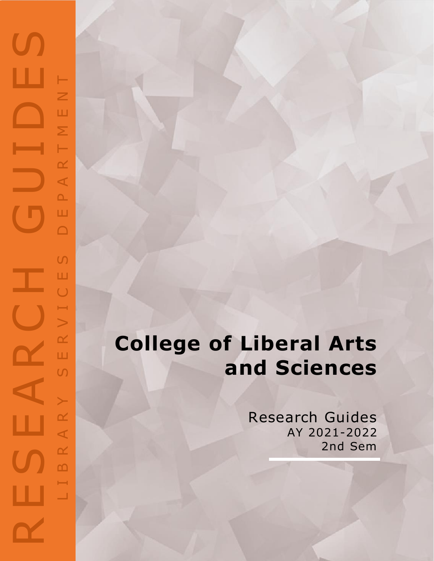## RESEARCH GUIDES  $\mathbf{C}$ ш NENT L I B R A R Y S E R V I C E S D E P A R T M E N TART  $\Delta$ Ш  $\Box$  $\overline{C}$ Ш J.  $\bigcup$  $\mapsto$  $\geq$  $\propto$  $\mathbf{\alpha}$ Ш  $\cup$  $\succ$ AR ш  $\propto$  $\mathbf{D}$ ÷, ш  $\Box$

## **College of Liberal Arts and Sciences**

Research Guides AY 2021-2022 2nd Sem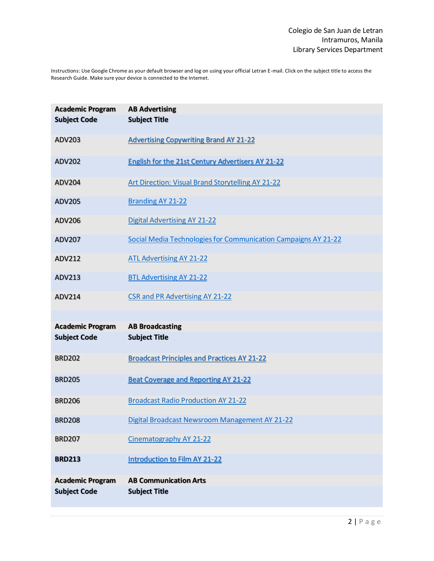Instructions: Use Google Chrome as your default browser and log on using your official Letran E-mail. Click on the subject title to access the Research Guide. Make sure your device is connected to the Internet.

| <b>Academic Program</b><br><b>Subject Code</b> | <b>AB Advertising</b><br><b>Subject Title</b>                  |
|------------------------------------------------|----------------------------------------------------------------|
| ADV203                                         | <b>Advertising Copywriting Brand AY 21-22</b>                  |
| <b>ADV202</b>                                  | <b>English for the 21st Century Advertisers AY 21-22</b>       |
| <b>ADV204</b>                                  | <b>Art Direction: Visual Brand Storytelling AY 21-22</b>       |
| <b>ADV205</b>                                  | <b>Branding AY 21-22</b>                                       |
| ADV206                                         | <b>Digital Advertising AY 21-22</b>                            |
| <b>ADV207</b>                                  | Social Media Technologies for Communication Campaigns AY 21-22 |
| ADV212                                         | <b>ATL Advertising AY 21-22</b>                                |
| ADV213                                         | <b>BTL Advertising AY 21-22</b>                                |
| ADV214                                         | <b>CSR and PR Advertising AY 21-22</b>                         |
| <b>Academic Program</b>                        | <b>AB Broadcasting</b>                                         |
| <b>Subject Code</b>                            | <b>Subject Title</b>                                           |
| <b>BRD202</b>                                  | <b>Broadcast Principles and Practices AY 21-22</b>             |
| <b>BRD205</b>                                  | <b>Beat Coverage and Reporting AY 21-22</b>                    |
| <b>BRD206</b>                                  | <b>Broadcast Radio Production AY 21-22</b>                     |
| <b>BRD208</b>                                  | Digital Broadcast Newsroom Management AY 21-22                 |
| <b>BRD207</b>                                  | Cinematography AY 21-22                                        |
| <b>BRD213</b>                                  | <b>Introduction to Film AY 21-22</b>                           |
| <b>Academic Program</b>                        | <b>AB Communication Arts</b>                                   |
| <b>Subject Code</b>                            | <b>Subject Title</b>                                           |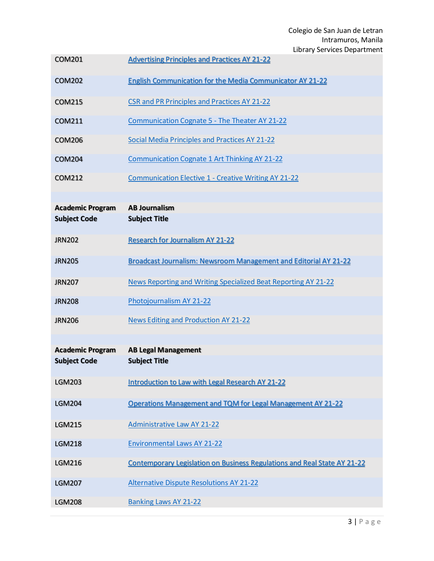Colegio de San Juan de Letran Intramuros, Manila Library Services Department

|                         | Library Services Departmen                                                      |
|-------------------------|---------------------------------------------------------------------------------|
| <b>COM201</b>           | <b>Advertising Principles and Practices AY 21-22</b>                            |
| <b>COM202</b>           | <b>English Communication for the Media Communicator AY 21-22</b>                |
| <b>COM215</b>           | <b>CSR and PR Principles and Practices AY 21-22</b>                             |
| <b>COM211</b>           | Communication Cognate 5 - The Theater AY 21-22                                  |
| <b>COM206</b>           | Social Media Principles and Practices AY 21-22                                  |
| <b>COM204</b>           | <b>Communication Cognate 1 Art Thinking AY 21-22</b>                            |
| COM212                  | <b>Communication Elective 1 - Creative Writing AY 21-22</b>                     |
| <b>Academic Program</b> | <b>AB Journalism</b>                                                            |
| <b>Subject Code</b>     | <b>Subject Title</b>                                                            |
| <b>JRN202</b>           | <b>Research for Journalism AY 21-22</b>                                         |
| <b>JRN205</b>           | <b>Broadcast Journalism: Newsroom Management and Editorial AY 21-22</b>         |
| <b>JRN207</b>           | News Reporting and Writing Specialized Beat Reporting AY 21-22                  |
| <b>JRN208</b>           | Photojournalism AY 21-22                                                        |
| <b>JRN206</b>           | <b>News Editing and Production AY 21-22</b>                                     |
| <b>Academic Program</b> | <b>AB Legal Management</b>                                                      |
| <b>Subject Code</b>     | <b>Subject Title</b>                                                            |
| <b>LGM203</b>           | <b>Introduction to Law with Legal Research AY 21-22</b>                         |
| <b>LGM204</b>           | Operations Management and TQM for Legal Management AY 21-22                     |
| <b>LGM215</b>           | <b>Administrative Law AY 21-22</b>                                              |
| <b>LGM218</b>           | <b>Environmental Laws AY 21-22</b>                                              |
| <b>LGM216</b>           | <b>Contemporary Legislation on Business Regulations and Real State AY 21-22</b> |
| <b>LGM207</b>           | <b>Alternative Dispute Resolutions AY 21-22</b>                                 |
| <b>LGM208</b>           | <b>Banking Laws AY 21-22</b>                                                    |